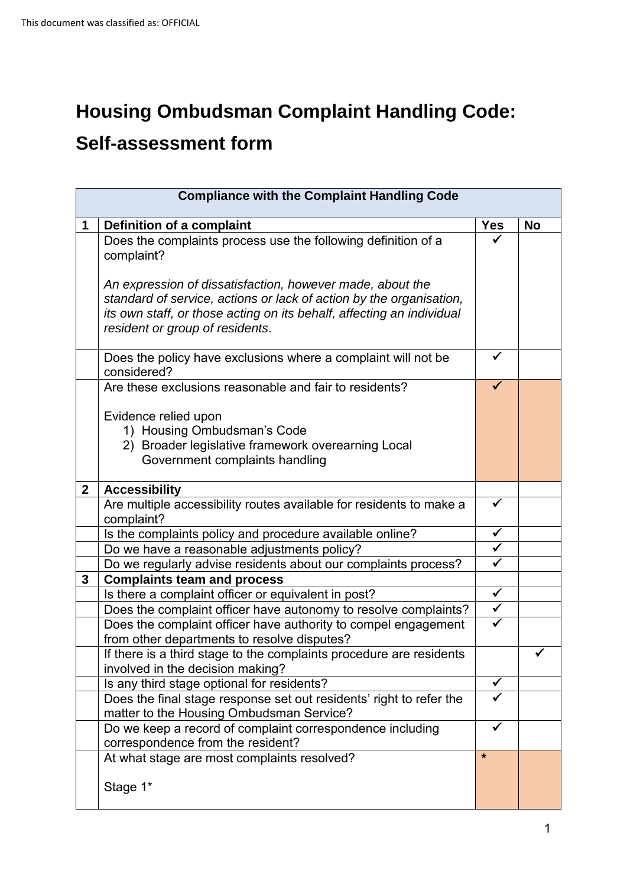## **Housing Ombudsman Complaint Handling Code:**

## **Self-assessment form**

| <b>Compliance with the Complaint Handling Code</b> |                                                                                                                                                                                                                                              |              |           |  |  |
|----------------------------------------------------|----------------------------------------------------------------------------------------------------------------------------------------------------------------------------------------------------------------------------------------------|--------------|-----------|--|--|
| 1                                                  | Definition of a complaint                                                                                                                                                                                                                    | Yes          | <b>No</b> |  |  |
|                                                    | Does the complaints process use the following definition of a<br>complaint?                                                                                                                                                                  |              |           |  |  |
|                                                    | An expression of dissatisfaction, however made, about the<br>standard of service, actions or lack of action by the organisation,<br>its own staff, or those acting on its behalf, affecting an individual<br>resident or group of residents. |              |           |  |  |
|                                                    | Does the policy have exclusions where a complaint will not be<br>considered?                                                                                                                                                                 |              |           |  |  |
|                                                    | Are these exclusions reasonable and fair to residents?                                                                                                                                                                                       |              |           |  |  |
|                                                    | Evidence relied upon<br>1) Housing Ombudsman's Code<br>2) Broader legislative framework overearning Local<br>Government complaints handling                                                                                                  |              |           |  |  |
| $\mathbf{2}$                                       | <b>Accessibility</b>                                                                                                                                                                                                                         |              |           |  |  |
|                                                    | Are multiple accessibility routes available for residents to make a<br>complaint?                                                                                                                                                            |              |           |  |  |
|                                                    | Is the complaints policy and procedure available online?                                                                                                                                                                                     | $\checkmark$ |           |  |  |
|                                                    | Do we have a reasonable adjustments policy?                                                                                                                                                                                                  | $\checkmark$ |           |  |  |
|                                                    | Do we regularly advise residents about our complaints process?                                                                                                                                                                               | $\checkmark$ |           |  |  |
| 3                                                  | <b>Complaints team and process</b>                                                                                                                                                                                                           |              |           |  |  |
|                                                    | Is there a complaint officer or equivalent in post?                                                                                                                                                                                          | $\checkmark$ |           |  |  |
|                                                    | Does the complaint officer have autonomy to resolve complaints?                                                                                                                                                                              | $\checkmark$ |           |  |  |
|                                                    | Does the complaint officer have authority to compel engagement<br>from other departments to resolve disputes?                                                                                                                                |              |           |  |  |
|                                                    | If there is a third stage to the complaints procedure are residents<br>involved in the decision making?                                                                                                                                      |              |           |  |  |
|                                                    | Is any third stage optional for residents?                                                                                                                                                                                                   | ✔            |           |  |  |
|                                                    | Does the final stage response set out residents' right to refer the<br>matter to the Housing Ombudsman Service?                                                                                                                              |              |           |  |  |
|                                                    | Do we keep a record of complaint correspondence including<br>correspondence from the resident?                                                                                                                                               | ✓            |           |  |  |
|                                                    | At what stage are most complaints resolved?                                                                                                                                                                                                  | $\star$      |           |  |  |
|                                                    | Stage 1*                                                                                                                                                                                                                                     |              |           |  |  |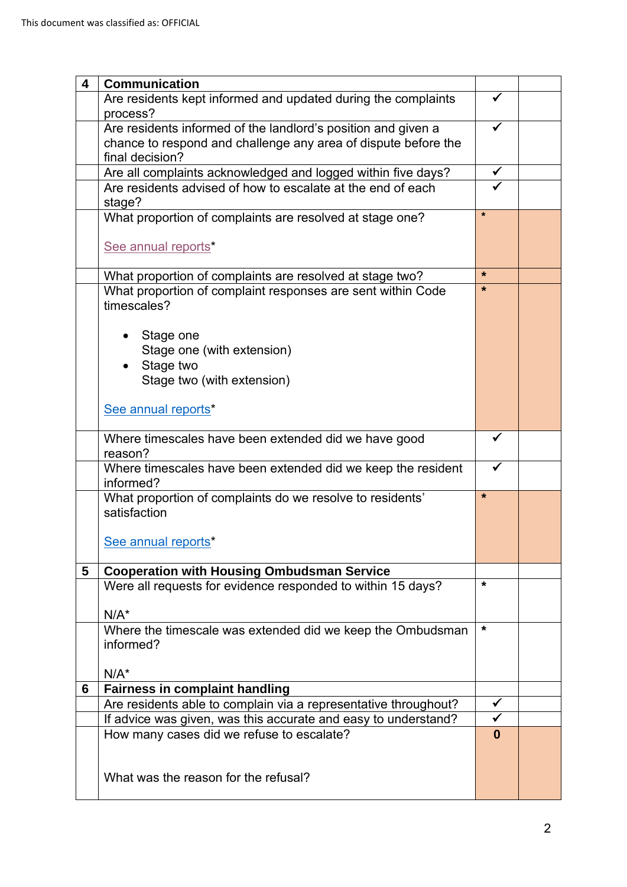| 4 | <b>Communication</b>                                            |              |  |
|---|-----------------------------------------------------------------|--------------|--|
|   | Are residents kept informed and updated during the complaints   |              |  |
|   | process?                                                        |              |  |
|   | Are residents informed of the landlord's position and given a   | $\checkmark$ |  |
|   | chance to respond and challenge any area of dispute before the  |              |  |
|   | final decision?                                                 |              |  |
|   | Are all complaints acknowledged and logged within five days?    | $\checkmark$ |  |
|   | Are residents advised of how to escalate at the end of each     |              |  |
|   | stage?                                                          |              |  |
|   | What proportion of complaints are resolved at stage one?        | $\star$      |  |
|   |                                                                 |              |  |
|   | See annual reports*                                             |              |  |
|   |                                                                 |              |  |
|   | What proportion of complaints are resolved at stage two?        | $\star$      |  |
|   | What proportion of complaint responses are sent within Code     | $\star$      |  |
|   | timescales?                                                     |              |  |
|   |                                                                 |              |  |
|   |                                                                 |              |  |
|   | Stage one                                                       |              |  |
|   | Stage one (with extension)                                      |              |  |
|   | Stage two                                                       |              |  |
|   | Stage two (with extension)                                      |              |  |
|   |                                                                 |              |  |
|   | See annual reports*                                             |              |  |
|   |                                                                 |              |  |
|   | Where timescales have been extended did we have good            |              |  |
|   | reason?                                                         |              |  |
|   | Where timescales have been extended did we keep the resident    | ✓            |  |
|   | informed?                                                       |              |  |
|   | What proportion of complaints do we resolve to residents'       | $\star$      |  |
|   | satisfaction                                                    |              |  |
|   |                                                                 |              |  |
|   | See annual reports*                                             |              |  |
|   |                                                                 |              |  |
| 5 | <b>Cooperation with Housing Ombudsman Service</b>               |              |  |
|   | Were all requests for evidence responded to within 15 days?     | $\star$      |  |
|   |                                                                 |              |  |
|   | $N/A^*$                                                         |              |  |
|   | Where the timescale was extended did we keep the Ombudsman      | $\star$      |  |
|   | informed?                                                       |              |  |
|   |                                                                 |              |  |
|   | $N/A^*$                                                         |              |  |
| 6 | <b>Fairness in complaint handling</b>                           |              |  |
|   | Are residents able to complain via a representative throughout? | $\checkmark$ |  |
|   | If advice was given, was this accurate and easy to understand?  | ✓            |  |
|   |                                                                 | $\bf{0}$     |  |
|   | How many cases did we refuse to escalate?                       |              |  |
|   |                                                                 |              |  |
|   |                                                                 |              |  |
|   | What was the reason for the refusal?                            |              |  |
|   |                                                                 |              |  |